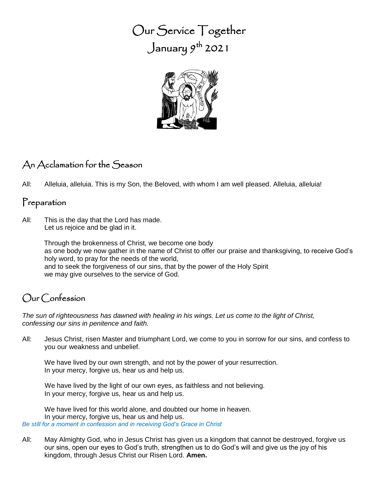# Our Service Together  $\int$ anuary 9<sup>th</sup> 2021



# An Acclamation for the Season

All: Alleluia, alleluia. This is my Son, the Beloved, with whom I am well pleased. Alleluia, alleluia!

### Preparation

All: This is the day that the Lord has made. Let us rejoice and be glad in it.

> Through the brokenness of Christ, we become one body as one body we now gather in the name of Christ to offer our praise and thanksgiving, to receive God's holy word, to pray for the needs of the world, and to seek the forgiveness of our sins, that by the power of the Holy Spirit we may give ourselves to the service of God.

# Our Confession

*The sun of righteousness has dawned with healing in his wings. Let us come to the light of Christ, confessing our sins in penitence and faith.*

All: Jesus Christ, risen Master and triumphant Lord, we come to you in sorrow for our sins, and confess to you our weakness and unbelief.

We have lived by our own strength, and not by the power of your resurrection. In your mercy, forgive us, hear us and help us.

We have lived by the light of our own eyes, as faithless and not believing. In your mercy, forgive us, hear us and help us.

We have lived for this world alone, and doubted our home in heaven. In your mercy, forgive us, hear us and help us. *Be still for a moment in confession and in receiving God's Grace in Christ*

All: May Almighty God, who in Jesus Christ has given us a kingdom that cannot be destroyed, forgive us our sins, open our eyes to God's truth, strengthen us to do God's will and give us the joy of his kingdom, through Jesus Christ our Risen Lord. **Amen.**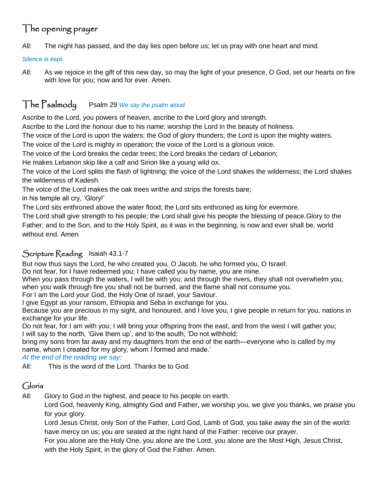# The opening prayer

All: The night has passed, and the day lies open before us; let us pray with one heart and mind.

*Silence is kept.*

All: As we rejoice in the gift of this new day, so may the light of your presence, O God, set our hearts on fire with love for you; now and for ever. Amen.

# The Psalmody Psalm 29 *We say the psalm aloud*

Ascribe to the Lord, you powers of heaven, ascribe to the Lord glory and strength.

Ascribe to the Lord the honour due to his name; worship the Lord in the beauty of holiness.

The voice of the Lord is upon the waters; the God of glory thunders; the Lord is upon the mighty waters.

The voice of the Lord is mighty in operation; the voice of the Lord is a glorious voice.

The voice of the Lord breaks the cedar trees; the Lord breaks the cedars of Lebanon;

He makes Lebanon skip like a calf and Sirion like a young wild ox.

The voice of the Lord splits the flash of lightning; the voice of the Lord shakes the wilderness; the Lord shakes the wilderness of Kadesh.

The voice of the Lord makes the oak trees writhe and strips the forests bare;

in his temple all cry, 'Glory!'

The Lord sits enthroned above the water flood; the Lord sits enthroned as king for evermore.

The Lord shall give strength to his people; the Lord shall give his people the blessing of peace.Glory to the Father, and to the Son, and to the Holy Spirit, as it was in the beginning, is now and ever shall be, world without end. Amen

### Scripture Reading Isaiah 43.1-7

But now thus says the Lord, he who created you, O Jacob, he who formed you, O Israel:

Do not fear, for I have redeemed you; I have called you by name, you are mine.

When you pass through the waters, I will be with you; and through the rivers, they shall not overwhelm you; when you walk through fire you shall not be burned, and the flame shall not consume you.

For I am the Lord your God, the Holy One of Israel, your Saviour.

I give Egypt as your ransom, Ethiopia and Seba in exchange for you.

Because you are precious in my sight, and honoured, and I love you, I give people in return for you, nations in exchange for your life.

Do not fear, for I am with you; I will bring your offspring from the east, and from the west I will gather you; I will say to the north, 'Give them up', and to the south, 'Do not withhold;

bring my sons from far away and my daughters from the end of the earth—everyone who is called by my name, whom I created for my glory, whom I formed and made.'

*At the end of the reading we say:*

All: This is the word of the Lord. Thanks be to God.

### Gloria

All: Glory to God in the highest, and peace to his people on earth.

Lord God, heavenly King, almighty God and Father, we worship you, we give you thanks, we praise you for your glory.

Lord Jesus Christ, only Son of the Father, Lord God, Lamb of God, you take away the sin of the world: have mercy on us; you are seated at the right hand of the Father: receive our prayer.

For you alone are the Holy One, you alone are the Lord, you alone are the Most High, Jesus Christ, with the Holy Spirit, in the glory of God the Father. Amen.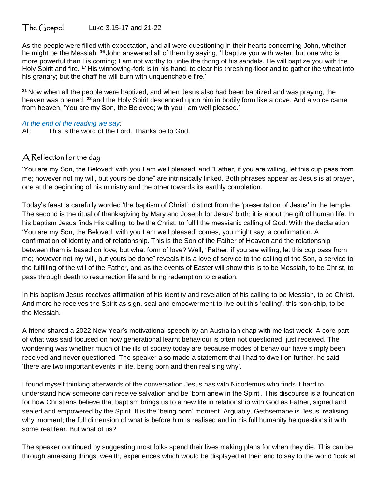#### $\int$ he  $\int$ ospel Luke 3.15-17 and 21-22

As the people were filled with expectation, and all were questioning in their hearts concerning John, whether he might be the Messiah, **<sup>16</sup>** John answered all of them by saying, 'I baptize you with water; but one who is more powerful than I is coming; I am not worthy to untie the thong of his sandals. He will baptize you with the Holy Spirit and fire. **<sup>17</sup>** His winnowing-fork is in his hand, to clear his threshing-floor and to gather the wheat into his granary; but the chaff he will burn with unquenchable fire.'

**<sup>21</sup>** Now when all the people were baptized, and when Jesus also had been baptized and was praying, the heaven was opened, **<sup>22</sup>** and the Holy Spirit descended upon him in bodily form like a dove. And a voice came from heaven, 'You are my Son, the Beloved; with you I am well pleased.'

#### *At the end of the reading we say:*

All: This is the word of the Lord. Thanks be to God.

#### A Reflection for the day

'You are my Son, the Beloved; with you I am well pleased' and "Father, if you are willing, let this cup pass from me; however not my will, but yours be done" are intrinsically linked. Both phrases appear as Jesus is at prayer, one at the beginning of his ministry and the other towards its earthly completion.

Today's feast is carefully worded 'the baptism of Christ'; distinct from the 'presentation of Jesus' in the temple. The second is the ritual of thanksgiving by Mary and Joseph for Jesus' birth; it is about the gift of human life. In his baptism Jesus finds His calling, to be the Christ, to fulfil the messianic calling of God. With the declaration 'You are my Son, the Beloved; with you I am well pleased' comes, you might say, a confirmation. A confirmation of identity and of relationship. This is the Son of the Father of Heaven and the relationship between them is based on love; but what form of love? Well, "Father, if you are willing, let this cup pass from me; however not my will, but yours be done" reveals it is a love of service to the calling of the Son, a service to the fulfilling of the will of the Father, and as the events of Easter will show this is to be Messiah, to be Christ, to pass through death to resurrection life and bring redemption to creation.

In his baptism Jesus receives affirmation of his identity and revelation of his calling to be Messiah, to be Christ. And more he receives the Spirit as sign, seal and empowerment to live out this 'calling', this 'son-ship, to be the Messiah.

A friend shared a 2022 New Year's motivational speech by an Australian chap with me last week. A core part of what was said focused on how generational learnt behaviour is often not questioned, just received. The wondering was whether much of the ills of society today are because modes of behaviour have simply been received and never questioned. The speaker also made a statement that I had to dwell on further, he said 'there are two important events in life, being born and then realising why'.

I found myself thinking afterwards of the conversation Jesus has with Nicodemus who finds it hard to understand how someone can receive salvation and be 'born anew in the Spirit'. This discourse is a foundation for how Christians believe that baptism brings us to a new life in relationship with God as Father, signed and sealed and empowered by the Spirit. It is the 'being born' moment. Arguably, Gethsemane is Jesus 'realising why' moment; the full dimension of what is before him is realised and in his full humanity he questions it with some real fear. But what of us?

The speaker continued by suggesting most folks spend their lives making plans for when they die. This can be through amassing things, wealth, experiences which would be displayed at their end to say to the world 'look at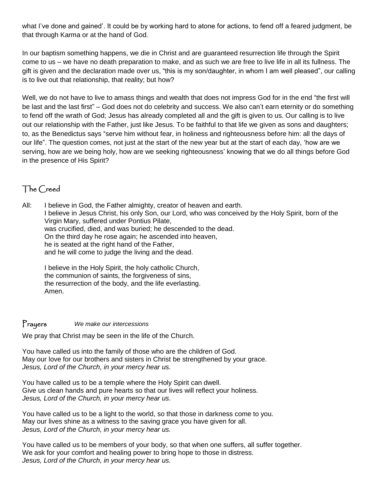what I've done and gained'. It could be by working hard to atone for actions, to fend off a feared judgment, be that through Karma or at the hand of God.

In our baptism something happens, we die in Christ and are guaranteed resurrection life through the Spirit come to us – we have no death preparation to make, and as such we are free to live life in all its fullness. The gift is given and the declaration made over us, "this is my son/daughter, in whom I am well pleased", our calling is to live out that relationship, that reality; but how?

Well, we do not have to live to amass things and wealth that does not impress God for in the end "the first will be last and the last first" – God does not do celebrity and success. We also can't earn eternity or do something to fend off the wrath of God; Jesus has already completed all and the gift is given to us. Our calling is to live out our relationship with the Father, just like Jesus. To be faithful to that life we given as sons and daughters; to, as the Benedictus says "serve him without fear, in holiness and righteousness before him: all the days of our life". The question comes, not just at the start of the new year but at the start of each day, 'how are we serving, how are we being holy, how are we seeking righteousness' knowing that we do all things before God in the presence of His Spirit?

### The Creed

All: I believe in God, the Father almighty, creator of heaven and earth. I believe in Jesus Christ, his only Son, our Lord, who was conceived by the Holy Spirit, born of the Virgin Mary, suffered under Pontius Pilate, was crucified, died, and was buried; he descended to the dead. On the third day he rose again; he ascended into heaven, he is seated at the right hand of the Father, and he will come to judge the living and the dead.

I believe in the Holy Spirit, the holy catholic Church, the communion of saints, the forgiveness of sins, the resurrection of the body, and the life everlasting. Amen.

#### Prayers *We make our intercessions*

We pray that Christ may be seen in the life of the Church.

You have called us into the family of those who are the children of God. May our love for our brothers and sisters in Christ be strengthened by your grace. *Jesus, Lord of the Church, in your mercy hear us.*

You have called us to be a temple where the Holy Spirit can dwell. Give us clean hands and pure hearts so that our lives will reflect your holiness. *Jesus, Lord of the Church, in your mercy hear us.*

You have called us to be a light to the world, so that those in darkness come to you. May our lives shine as a witness to the saving grace you have given for all. *Jesus, Lord of the Church, in your mercy hear us.*

You have called us to be members of your body, so that when one suffers, all suffer together. We ask for your comfort and healing power to bring hope to those in distress. *Jesus, Lord of the Church, in your mercy hear us.*